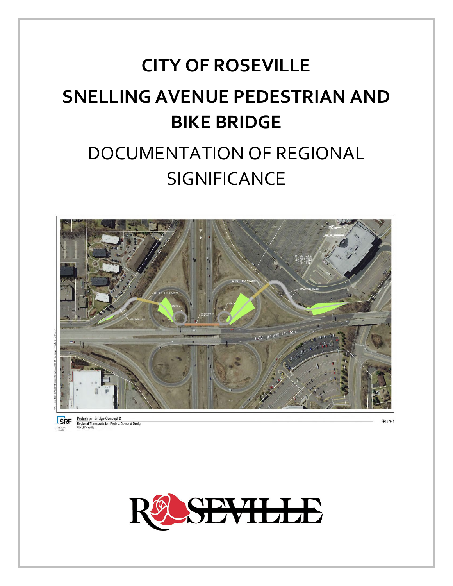# **CITY OF ROSEVILLE SNELLING AVENUE PEDESTRIAN AND BIKE BRIDGE DOCUMENTATION OF REGIONAL SIGNIFICANCE**



Regional Transpo<br>City of Roseville

tion Project Concept Design

Job 1520



Figure 1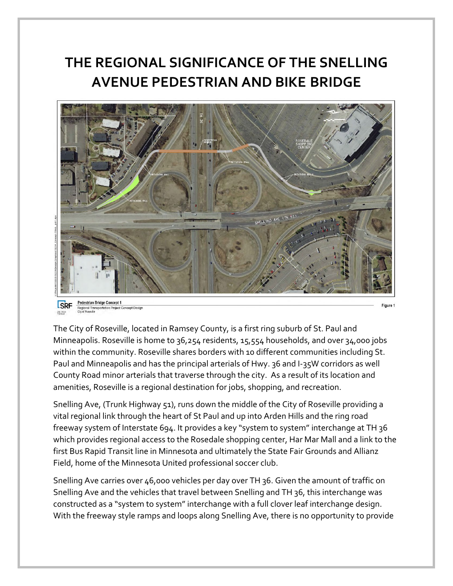# **THE REGIONAL SIGNIFICANCE OF THE SNELLING AVENUE PEDESTRIAN AND BIKE BRIDGE**



The City of Roseville, located in Ramsey County, is a first ring suburb of St. Paul and Minneapolis. Roseville is home to 36,254 residents, 15,554 households, and over 34,000 jobs within the community. Roseville shares borders with 10 different communities including St. Paul and Minneapolis and has the principal arterials of Hwy. 36 and I-35W corridors as well County Road minor arterials that traverse through the city. As a result of its location and amenities, Roseville is a regional destination for jobs, shopping, and recreation.

Snelling Ave, (Trunk Highway 51), runs down the middle of the City of Roseville providing a vital regional link through the heart of St Paul and up into Arden Hills and the ring road freeway system of Interstate 694. It provides a key "system to system" interchange at TH 36 which provides regional access to the Rosedale shopping center, Har Mar Mall and a link to the first Bus Rapid Transit line in Minnesota and ultimately the State Fair Grounds and Allianz Field, home of the Minnesota United professional soccer club.

Snelling Ave carries over 46,000 vehicles per day over TH 36. Given the amount of traffic on Snelling Ave and the vehicles that travel between Snelling and TH 36, this interchange was constructed as a "system to system" interchange with a full clover leaf interchange design. With the freeway style ramps and loops along Snelling Ave, there is no opportunity to provide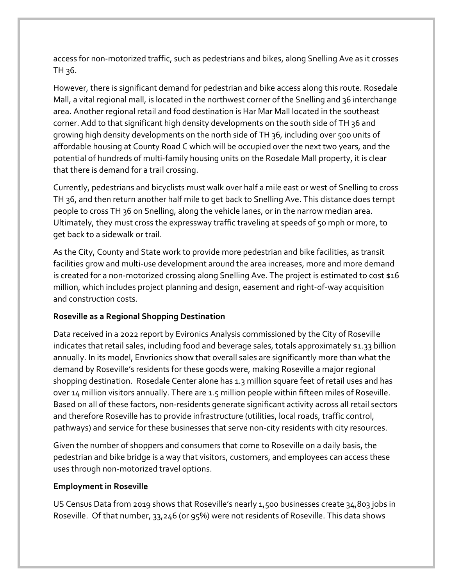access for non-motorized traffic, such as pedestrians and bikes, along Snelling Ave as it crosses TH 36.

However, there is significant demand for pedestrian and bike access along this route. Rosedale Mall, a vital regional mall, is located in the northwest corner of the Snelling and 36 interchange area. Another regional retail and food destination is Har Mar Mall located in the southeast corner. Add to that significant high density developments on the south side of TH 36 and growing high density developments on the north side of TH 36, including over 500 units of affordable housing at County Road C which will be occupied over the next two years, and the potential of hundreds of multi-family housing units on the Rosedale Mall property, it is clear that there is demand for a trail crossing.

Currently, pedestrians and bicyclists must walk over half a mile east or west of Snelling to cross TH 36, and then return another half mile to get back to Snelling Ave. This distance does tempt people to cross TH 36 on Snelling, along the vehicle lanes, or in the narrow median area. Ultimately, they must cross the expressway traffic traveling at speeds of 50 mph or more, to get back to a sidewalk or trail.

As the City, County and State work to provide more pedestrian and bike facilities, as transit facilities grow and multi-use development around the area increases, more and more demand is created for a non-motorized crossing along Snelling Ave. The project is estimated to cost \$16 million, which includes project planning and design, easement and right-of-way acquisition and construction costs.

## **Roseville as a Regional Shopping Destination**

Data received in a 2022 report by Evironics Analysis commissioned by the City of Roseville indicates that retail sales, including food and beverage sales, totals approximately \$1.33 billion annually. In its model, Envrionics show that overall sales are significantly more than what the demand by Roseville's residents for these goods were, making Roseville a major regional shopping destination. Rosedale Center alone has 1.3 million square feet of retail uses and has over 14 million visitors annually. There are 1.5 million people within fifteen miles of Roseville. Based on all of these factors, non-residents generate significant activity across all retail sectors and therefore Roseville has to provide infrastructure (utilities, local roads, traffic control, pathways) and service for these businesses that serve non-city residents with city resources.

Given the number of shoppers and consumers that come to Roseville on a daily basis, the pedestrian and bike bridge is a way that visitors, customers, and employees can access these uses through non-motorized travel options.

#### **Employment in Roseville**

US Census Data from 2019 shows that Roseville's nearly 1,500 businesses create 34,803 jobs in Roseville. Of that number, 33,246 (or 95%) were not residents of Roseville. This data shows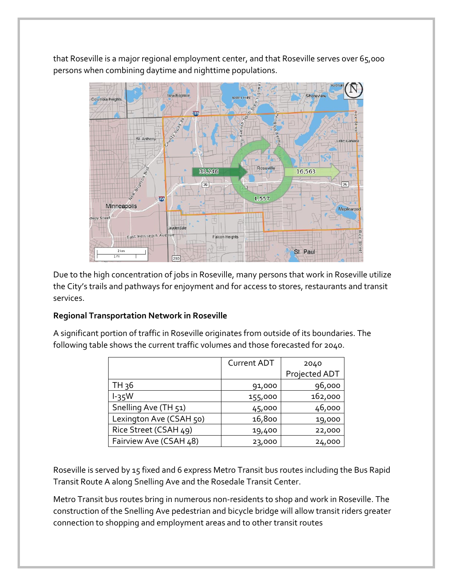that Roseville is a major regional employment center, and that Roseville serves over 65,000 persons when combining daytime and nighttime populations.



Due to the high concentration of jobs in Roseville, many persons that work in Roseville utilize the City's trails and pathways for enjoyment and for access to stores, restaurants and transit services.

## **Regional Transportation Network in Roseville**

A significant portion of traffic in Roseville originates from outside of its boundaries. The following table shows the current traffic volumes and those forecasted for 2040.

|                         | <b>Current ADT</b> | 2040          |
|-------------------------|--------------------|---------------|
|                         |                    | Projected ADT |
| TH 36                   | 91,000             | 96,000        |
| $l-35W$                 | 155,000            | 162,000       |
| Snelling Ave (TH 51)    | 45,000             | 46,000        |
| Lexington Ave (CSAH 50) | 16,800             | 19,000        |
| Rice Street (CSAH 49)   | 19,400             | 22,000        |
| Fairview Ave (CSAH 48)  | 23,000             | 24,000        |

Roseville is served by 15 fixed and 6 express Metro Transit bus routes including the Bus Rapid Transit Route A along Snelling Ave and the Rosedale Transit Center.

Metro Transit bus routes bring in numerous non-residents to shop and work in Roseville. The construction of the Snelling Ave pedestrian and bicycle bridge will allow transit riders greater connection to shopping and employment areas and to other transit routes